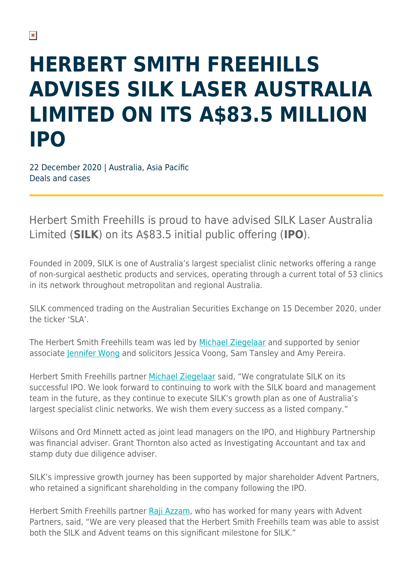## **HERBERT SMITH FREEHILLS ADVISES SILK LASER AUSTRALIA LIMITED ON ITS A\$83.5 MILLION IPO**

22 December 2020 | Australia, Asia Pacific Deals and cases

Herbert Smith Freehills is proud to have advised SILK Laser Australia Limited (**SILK**) on its A\$83.5 initial public offering (**IPO**).

Founded in 2009, SILK is one of Australia's largest specialist clinic networks offering a range of non-surgical aesthetic products and services, operating through a current total of 53 clinics in its network throughout metropolitan and regional Australia.

SILK commenced trading on the Australian Securities Exchange on 15 December 2020, under the ticker 'SLA'.

The Herbert Smith Freehills team was led by [Michael Ziegelaar](https://www.herbertsmithfreehills.com/our-people/michael-ziegelaar) and supported by senior associate [Jennifer Wong](https://www.herbertsmithfreehills.com/our-people/jennifer-wong) and solicitors Jessica Voong, Sam Tansley and Amy Pereira.

Herbert Smith Freehills partner [Michael Ziegelaar](https://www.herbertsmithfreehills.com/our-people/michael-ziegelaar) said, "We congratulate SILK on its successful IPO. We look forward to continuing to work with the SILK board and management team in the future, as they continue to execute SILK's growth plan as one of Australia's largest specialist clinic networks. We wish them every success as a listed company."

Wilsons and Ord Minnett acted as joint lead managers on the IPO, and Highbury Partnership was financial adviser. Grant Thornton also acted as Investigating Accountant and tax and stamp duty due diligence adviser.

SILK's impressive growth journey has been supported by major shareholder Advent Partners, who retained a significant shareholding in the company following the IPO.

Herbert Smith Freehills partner [Raji Azzam,](https://www.herbertsmithfreehills.com/our-people/raji-azzam) who has worked for many years with Advent Partners, said, "We are very pleased that the Herbert Smith Freehills team was able to assist both the SILK and Advent teams on this significant milestone for SILK."